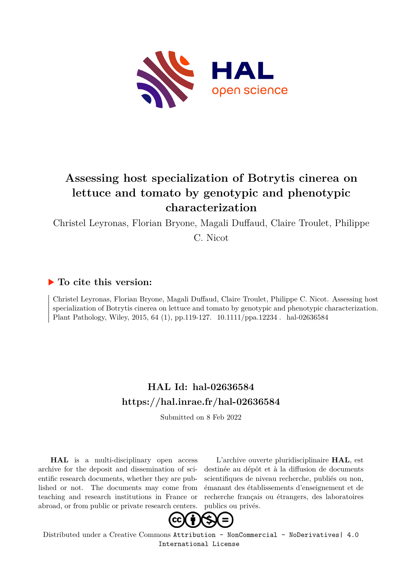

# **Assessing host specialization of Botrytis cinerea on lettuce and tomato by genotypic and phenotypic characterization**

Christel Leyronas, Florian Bryone, Magali Duffaud, Claire Troulet, Philippe

C. Nicot

# **To cite this version:**

Christel Leyronas, Florian Bryone, Magali Duffaud, Claire Troulet, Philippe C. Nicot. Assessing host specialization of Botrytis cinerea on lettuce and tomato by genotypic and phenotypic characterization. Plant Pathology, Wiley, 2015, 64 (1), pp.119-127. 10.1111/ppa.12234 . hal-02636584

# **HAL Id: hal-02636584 <https://hal.inrae.fr/hal-02636584>**

Submitted on 8 Feb 2022

**HAL** is a multi-disciplinary open access archive for the deposit and dissemination of scientific research documents, whether they are published or not. The documents may come from teaching and research institutions in France or abroad, or from public or private research centers.

L'archive ouverte pluridisciplinaire **HAL**, est destinée au dépôt et à la diffusion de documents scientifiques de niveau recherche, publiés ou non, émanant des établissements d'enseignement et de recherche français ou étrangers, des laboratoires publics ou privés.



Distributed under a Creative Commons [Attribution - NonCommercial - NoDerivatives| 4.0](http://creativecommons.org/licenses/by-nc-nd/4.0/) [International License](http://creativecommons.org/licenses/by-nc-nd/4.0/)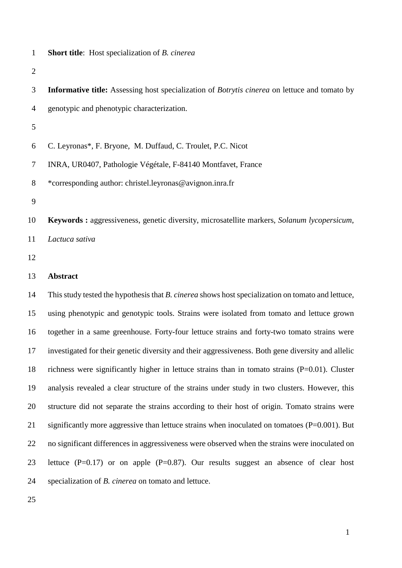### **Short title**: Host specialization of *B. cinerea*

- **Informative title:** Assessing host specialization of *Botrytis cinerea* on lettuce and tomato by genotypic and phenotypic characterization. C. Leyronas\*, F. Bryone, M. Duffaud, C. Troulet, P.C. Nicot
- INRA, UR0407, Pathologie Végétale, F-84140 Montfavet, France
- \*corresponding author: christel.leyronas@avignon.inra.fr
- 
- **Keywords :** aggressiveness, genetic diversity, microsatellite markers, *Solanum lycopersicum*,
- *Lactuca sativa*
- 

### **Abstract**

 This study tested the hypothesis that *B. cinerea* shows host specialization on tomato and lettuce, using phenotypic and genotypic tools. Strains were isolated from tomato and lettuce grown together in a same greenhouse. Forty-four lettuce strains and forty-two tomato strains were investigated for their genetic diversity and their aggressiveness. Both gene diversity and allelic richness were significantly higher in lettuce strains than in tomato strains (P=0.01). Cluster analysis revealed a clear structure of the strains under study in two clusters. However, this structure did not separate the strains according to their host of origin. Tomato strains were significantly more aggressive than lettuce strains when inoculated on tomatoes (P=0.001). But no significant differences in aggressiveness were observed when the strains were inoculated on lettuce (P=0.17) or on apple (P=0.87). Our results suggest an absence of clear host specialization of *B. cinerea* on tomato and lettuce.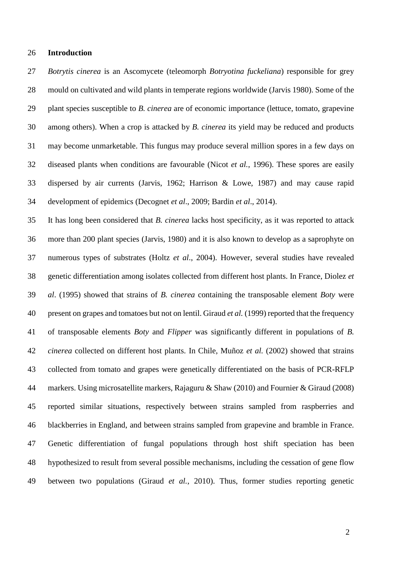#### **Introduction**

 *Botrytis cinerea* is an Ascomycete (teleomorph *Botryotina fuckeliana*) responsible for grey mould on cultivated and wild plants in temperate regions worldwide (Jarvis 1980). Some of the plant species susceptible to *B. cinerea* are of economic importance (lettuce, tomato, grapevine among others). When a crop is attacked by *B. cinerea* its yield may be reduced and products may become unmarketable. This fungus may produce several million spores in a few days on diseased plants when conditions are favourable (Nicot *et al.*, 1996). These spores are easily dispersed by air currents (Jarvis, 1962; Harrison & Lowe, 1987) and may cause rapid development of epidemics (Decognet *et al*., 2009; Bardin *et al*., 2014).

 It has long been considered that *B. cinerea* lacks host specificity, as it was reported to attack more than 200 plant species (Jarvis, 1980) and it is also known to develop as a saprophyte on numerous types of substrates (Holtz *et al*., 2004). However, several studies have revealed genetic differentiation among isolates collected from different host plants. In France, Diolez *et al*. (1995) showed that strains of *B. cinerea* containing the transposable element *Boty* were present on grapes and tomatoes but not on lentil. Giraud *et al.* (1999) reported that the frequency of transposable elements *Boty* and *Flipper* was significantly different in populations of *B. cinerea* collected on different host plants. In Chile, Muñoz *et al.* (2002) showed that strains collected from tomato and grapes were genetically differentiated on the basis of PCR-RFLP markers. Using microsatellite markers, Rajaguru & Shaw (2010) and Fournier & Giraud (2008) reported similar situations, respectively between strains sampled from raspberries and blackberries in England, and between strains sampled from grapevine and bramble in France. Genetic differentiation of fungal populations through host shift speciation has been hypothesized to result from several possible mechanisms, including the cessation of gene flow between two populations (Giraud *et al.*, 2010). Thus, former studies reporting genetic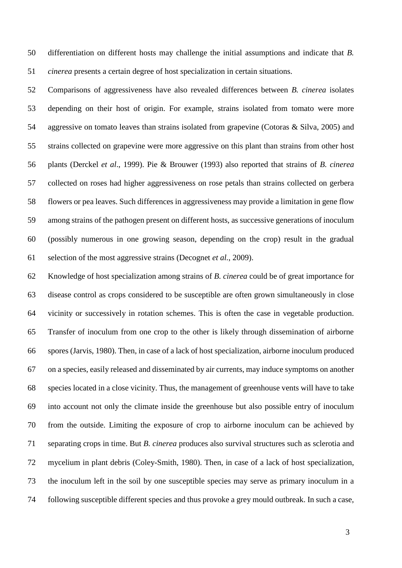differentiation on different hosts may challenge the initial assumptions and indicate that *B. cinerea* presents a certain degree of host specialization in certain situations.

 Comparisons of aggressiveness have also revealed differences between *B. cinerea* isolates depending on their host of origin. For example, strains isolated from tomato were more aggressive on tomato leaves than strains isolated from grapevine (Cotoras & Silva, 2005) and strains collected on grapevine were more aggressive on this plant than strains from other host plants (Derckel *et al*., 1999). Pie & Brouwer (1993) also reported that strains of *B. cinerea* collected on roses had higher aggressiveness on rose petals than strains collected on gerbera flowers or pea leaves. Such differences in aggressiveness may provide a limitation in gene flow among strains of the pathogen present on different hosts, as successive generations of inoculum (possibly numerous in one growing season, depending on the crop) result in the gradual selection of the most aggressive strains (Decognet *et al.*, 2009).

 Knowledge of host specialization among strains of *B. cinerea* could be of great importance for disease control as crops considered to be susceptible are often grown simultaneously in close vicinity or successively in rotation schemes. This is often the case in vegetable production. Transfer of inoculum from one crop to the other is likely through dissemination of airborne spores (Jarvis, 1980). Then, in case of a lack of host specialization, airborne inoculum produced on a species, easily released and disseminated by air currents, may induce symptoms on another species located in a close vicinity. Thus, the management of greenhouse vents will have to take into account not only the climate inside the greenhouse but also possible entry of inoculum from the outside. Limiting the exposure of crop to airborne inoculum can be achieved by separating crops in time. But *B. cinerea* produces also survival structures such as sclerotia and mycelium in plant debris (Coley-Smith, 1980). Then, in case of a lack of host specialization, the inoculum left in the soil by one susceptible species may serve as primary inoculum in a following susceptible different species and thus provoke a grey mould outbreak. In such a case,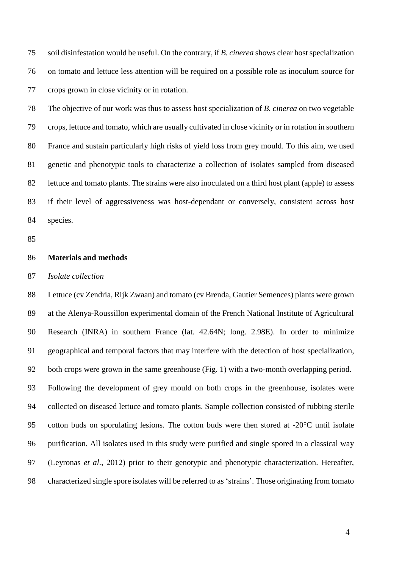soil disinfestation would be useful. On the contrary, if *B. cinerea* shows clear host specialization on tomato and lettuce less attention will be required on a possible role as inoculum source for crops grown in close vicinity or in rotation.

 The objective of our work was thus to assess host specialization of *B. cinerea* on two vegetable crops, lettuce and tomato, which are usually cultivated in close vicinity or in rotation in southern France and sustain particularly high risks of yield loss from grey mould. To this aim, we used genetic and phenotypic tools to characterize a collection of isolates sampled from diseased lettuce and tomato plants. The strains were also inoculated on a third host plant (apple) to assess if their level of aggressiveness was host-dependant or conversely, consistent across host species.

### **Materials and methods**

*Isolate collection*

 Lettuce (cv Zendria, Rijk Zwaan) and tomato (cv Brenda, Gautier Semences) plants were grown at the Alenya-Roussillon experimental domain of the French National Institute of Agricultural Research (INRA) in southern France (lat. 42.64N; long. 2.98E). In order to minimize geographical and temporal factors that may interfere with the detection of host specialization, both crops were grown in the same greenhouse (Fig. 1) with a two-month overlapping period. Following the development of grey mould on both crops in the greenhouse, isolates were collected on diseased lettuce and tomato plants. Sample collection consisted of rubbing sterile cotton buds on sporulating lesions. The cotton buds were then stored at -20°C until isolate purification. All isolates used in this study were purified and single spored in a classical way (Leyronas *et al*., 2012) prior to their genotypic and phenotypic characterization. Hereafter, characterized single spore isolates will be referred to as 'strains'. Those originating from tomato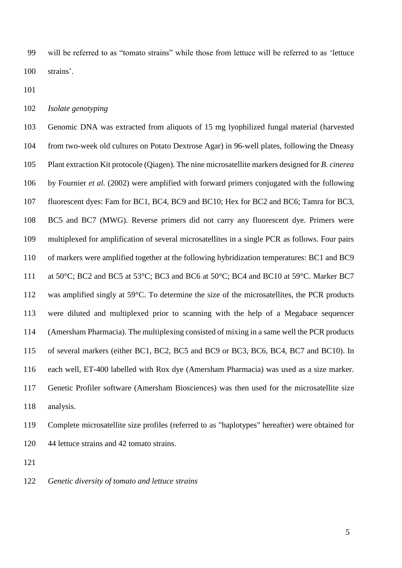will be referred to as "tomato strains" while those from lettuce will be referred to as 'lettuce strains'.

*Isolate genotyping*

 Genomic DNA was extracted from aliquots of 15 mg lyophilized fungal material (harvested from two-week old cultures on Potato Dextrose Agar) in 96-well plates, following the Dneasy Plant extraction Kit protocole (Qiagen). The nine microsatellite markers designed for *B. cinerea*  by Fournier *et al.* (2002) were amplified with forward primers conjugated with the following fluorescent dyes: Fam for BC1, BC4, BC9 and BC10; Hex for BC2 and BC6; Tamra for BC3, BC5 and BC7 (MWG). Reverse primers did not carry any fluorescent dye. Primers were multiplexed for amplification of several microsatellites in a single PCR as follows. Four pairs of markers were amplified together at the following hybridization temperatures: BC1 and BC9 111 at 50°C; BC2 and BC5 at 53°C; BC3 and BC6 at 50°C; BC4 and BC10 at 59°C. Marker BC7 was amplified singly at 59°C. To determine the size of the microsatellites, the PCR products were diluted and multiplexed prior to scanning with the help of a Megabace sequencer (Amersham Pharmacia). The multiplexing consisted of mixing in a same well the PCR products of several markers (either BC1, BC2, BC5 and BC9 or BC3, BC6, BC4, BC7 and BC10). In each well, ET-400 labelled with Rox dye (Amersham Pharmacia) was used as a size marker. Genetic Profiler software (Amersham Biosciences) was then used for the microsatellite size analysis.

 Complete microsatellite size profiles (referred to as "haplotypes" hereafter) were obtained for 44 lettuce strains and 42 tomato strains.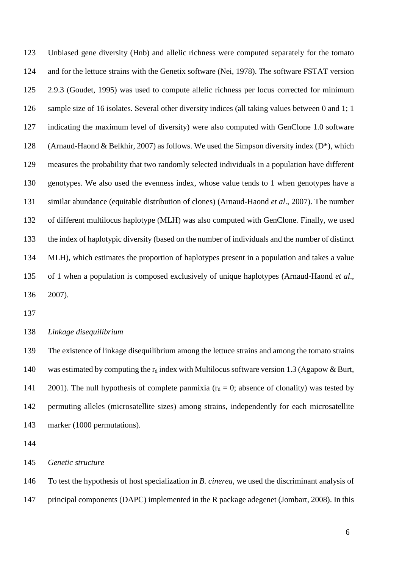Unbiased gene diversity (Hnb) and allelic richness were computed separately for the tomato and for the lettuce strains with the Genetix software (Nei, 1978). The software FSTAT version 2.9.3 (Goudet, 1995) was used to compute allelic richness per locus corrected for minimum sample size of 16 isolates. Several other diversity indices (all taking values between 0 and 1; 1 indicating the maximum level of diversity) were also computed with GenClone 1.0 software 128 (Arnaud-Haond & Belkhir, 2007) as follows. We used the Simpson diversity index  $(D^*)$ , which measures the probability that two randomly selected individuals in a population have different genotypes. We also used the evenness index, whose value tends to 1 when genotypes have a similar abundance (equitable distribution of clones) (Arnaud-Haond *et al*., 2007). The number of different multilocus haplotype (MLH) was also computed with GenClone. Finally, we used the index of haplotypic diversity (based on the number of individuals and the number of distinct MLH), which estimates the proportion of haplotypes present in a population and takes a value of 1 when a population is composed exclusively of unique haplotypes (Arnaud-Haond *et al*., 2007).

*Linkage disequilibrium*

 The existence of linkage disequilibrium among the lettuce strains and among the tomato strains 140 was estimated by computing the  $r_d$  index with Multilocus software version 1.3 (Agapow & Burt, 141 2001). The null hypothesis of complete panmixia ( $r_d = 0$ ; absence of clonality) was tested by permuting alleles (microsatellite sizes) among strains, independently for each microsatellite marker (1000 permutations).

*Genetic structure*

To test the hypothesis of host specialization in *B. cinerea*, we used the discriminant analysis of

principal components (DAPC) implemented in the R package adegenet (Jombart, 2008). In this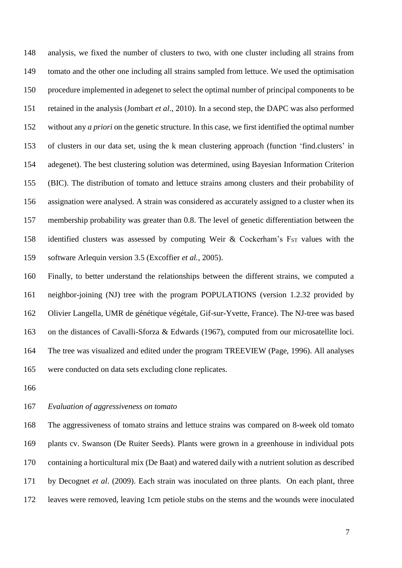analysis, we fixed the number of clusters to two, with one cluster including all strains from tomato and the other one including all strains sampled from lettuce. We used the optimisation procedure implemented in adegenet to select the optimal number of principal components to be retained in the analysis (Jombart *et al*., 2010). In a second step, the DAPC was also performed without any *a priori* on the genetic structure. In this case, we first identified the optimal number of clusters in our data set, using the k mean clustering approach (function 'find.clusters' in adegenet). The best clustering solution was determined, using Bayesian Information Criterion (BIC). The distribution of tomato and lettuce strains among clusters and their probability of assignation were analysed. A strain was considered as accurately assigned to a cluster when its membership probability was greater than 0.8. The level of genetic differentiation between the 158 identified clusters was assessed by computing Weir & Cockerham's  $F_{ST}$  values with the software Arlequin version 3.5 (Excoffier *et al.*, 2005).

 Finally, to better understand the relationships between the different strains, we computed a neighbor-joining (NJ) tree with the program POPULATIONS (version 1.2.32 provided by Olivier Langella, UMR de génétique végétale, Gif-sur-Yvette, France). The NJ-tree was based on the distances of Cavalli-Sforza & Edwards (1967), computed from our microsatellite loci. The tree was visualized and edited under the program TREEVIEW (Page, 1996). All analyses were conducted on data sets excluding clone replicates.

#### *Evaluation of aggressiveness on tomato*

 The aggressiveness of tomato strains and lettuce strains was compared on 8-week old tomato plants cv. Swanson (De Ruiter Seeds). Plants were grown in a greenhouse in individual pots containing a horticultural mix (De Baat) and watered daily with a nutrient solution as described by Decognet *et al*. (2009). Each strain was inoculated on three plants. On each plant, three leaves were removed, leaving 1cm petiole stubs on the stems and the wounds were inoculated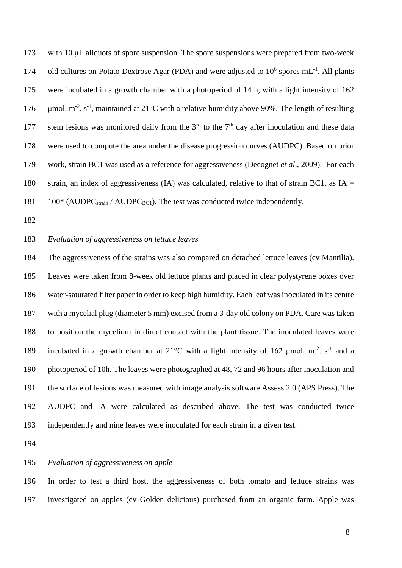with 10 μL aliquots of spore suspension. The spore suspensions were prepared from two-week 174 old cultures on Potato Dextrose Agar (PDA) and were adjusted to  $10^6$  spores mL<sup>-1</sup>. All plants were incubated in a growth chamber with a photoperiod of 14 h, with a light intensity of 162  $\mu$ mol. m<sup>-2</sup>. s<sup>-1</sup>, maintained at 21°C with a relative humidity above 90%. The length of resulting 177 stem lesions was monitored daily from the  $3<sup>rd</sup>$  to the  $7<sup>th</sup>$  day after inoculation and these data were used to compute the area under the disease progression curves (AUDPC). Based on prior work, strain BC1 was used as a reference for aggressiveness (Decognet *et al*., 2009). For each 180 strain, an index of aggressiveness (IA) was calculated, relative to that of strain BC1, as  $IA =$ 100\* (AUDPC<sub>strain</sub> / AUDPC<sub>BC1</sub>). The test was conducted twice independently.

## *Evaluation of aggressiveness on lettuce leaves*

 The aggressiveness of the strains was also compared on detached lettuce leaves (cv Mantilia). Leaves were taken from 8-week old lettuce plants and placed in clear polystyrene boxes over water-saturated filter paper in order to keep high humidity. Each leaf was inoculated in its centre with a mycelial plug (diameter 5 mm) excised from a 3-day old colony on PDA. Care was taken to position the mycelium in direct contact with the plant tissue. The inoculated leaves were 189 incubated in a growth chamber at  $21^{\circ}$ C with a light intensity of 162 µmol. m<sup>-2</sup>. s<sup>-1</sup> and a photoperiod of 10h. The leaves were photographed at 48, 72 and 96 hours after inoculation and the surface of lesions was measured with image analysis software Assess 2.0 (APS Press). The AUDPC and IA were calculated as described above. The test was conducted twice independently and nine leaves were inoculated for each strain in a given test.

# *Evaluation of aggressiveness on apple*

 In order to test a third host, the aggressiveness of both tomato and lettuce strains was investigated on apples (cv Golden delicious) purchased from an organic farm. Apple was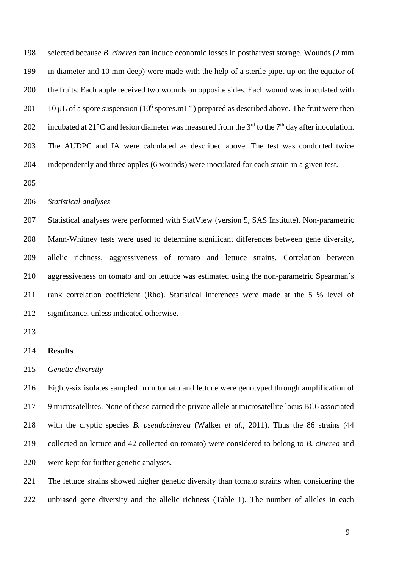selected because *B. cinerea* can induce economic losses in postharvest storage. Wounds (2 mm in diameter and 10 mm deep) were made with the help of a sterile pipet tip on the equator of the fruits. Each apple received two wounds on opposite sides. Each wound was inoculated with 201 10 µL of a spore suspension ( $10^6$  spores.mL<sup>-1</sup>) prepared as described above. The fruit were then 202 incubated at 21 $^{\circ}$ C and lesion diameter was measured from the 3<sup>rd</sup> to the 7<sup>th</sup> day after inoculation. The AUDPC and IA were calculated as described above. The test was conducted twice independently and three apples (6 wounds) were inoculated for each strain in a given test.

#### *Statistical analyses*

 Statistical analyses were performed with StatView (version 5, SAS Institute). Non-parametric Mann-Whitney tests were used to determine significant differences between gene diversity, allelic richness, aggressiveness of tomato and lettuce strains. Correlation between aggressiveness on tomato and on lettuce was estimated using the non-parametric Spearman's rank correlation coefficient (Rho). Statistical inferences were made at the 5 % level of significance, unless indicated otherwise.

# **Results**

*Genetic diversity*

 Eighty-six isolates sampled from tomato and lettuce were genotyped through amplification of 9 microsatellites. None of these carried the private allele at microsatellite locus BC6 associated with the cryptic species *B. pseudocinerea* (Walker *et al*., 2011). Thus the 86 strains (44 collected on lettuce and 42 collected on tomato) were considered to belong to *B. cinerea* and were kept for further genetic analyses.

 The lettuce strains showed higher genetic diversity than tomato strains when considering the unbiased gene diversity and the allelic richness (Table 1). The number of alleles in each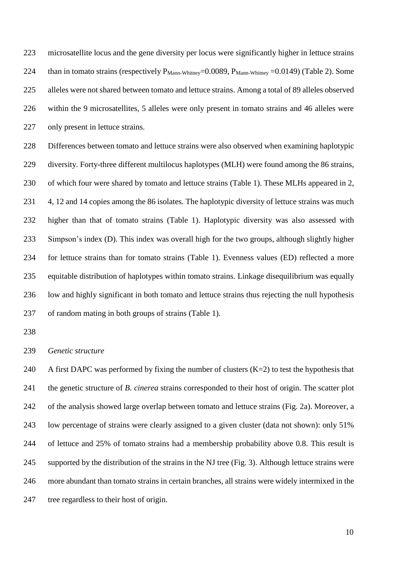microsatellite locus and the gene diversity per locus were significantly higher in lettuce strains 224 than in tomato strains (respectively  $P_{Mann-Whitnev}=0.0089$ ,  $P_{Mann-Whitnev}=0.0149$ ) (Table 2). Some alleles were not shared between tomato and lettuce strains. Among a total of 89 alleles observed within the 9 microsatellites, 5 alleles were only present in tomato strains and 46 alleles were 227 only present in lettuce strains.

 Differences between tomato and lettuce strains were also observed when examining haplotypic diversity. Forty-three different multilocus haplotypes (MLH) were found among the 86 strains, of which four were shared by tomato and lettuce strains (Table 1). These MLHs appeared in 2, 4, 12 and 14 copies among the 86 isolates. The haplotypic diversity of lettuce strains was much higher than that of tomato strains (Table 1). Haplotypic diversity was also assessed with Simpson's index (D). This index was overall high for the two groups, although slightly higher for lettuce strains than for tomato strains (Table 1). Evenness values (ED) reflected a more equitable distribution of haplotypes within tomato strains. Linkage disequilibrium was equally low and highly significant in both tomato and lettuce strains thus rejecting the null hypothesis of random mating in both groups of strains (Table 1).

*Genetic structure*

240 A first DAPC was performed by fixing the number of clusters  $(K=2)$  to test the hypothesis that the genetic structure of *B. cinerea* strains corresponded to their host of origin. The scatter plot of the analysis showed large overlap between tomato and lettuce strains (Fig. 2a). Moreover, a low percentage of strains were clearly assigned to a given cluster (data not shown): only 51% of lettuce and 25% of tomato strains had a membership probability above 0.8. This result is supported by the distribution of the strains in the NJ tree (Fig. 3). Although lettuce strains were more abundant than tomato strains in certain branches, all strains were widely intermixed in the tree regardless to their host of origin.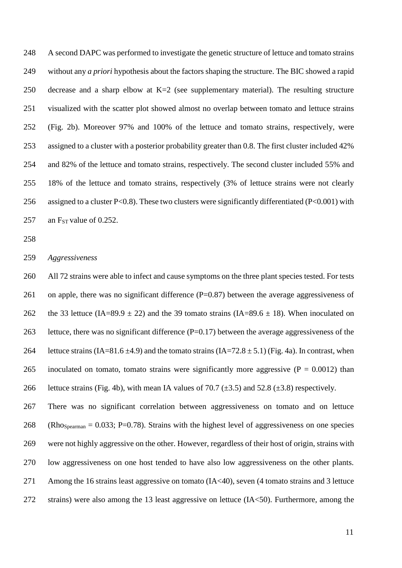A second DAPC was performed to investigate the genetic structure of lettuce and tomato strains without any *a priori* hypothesis about the factors shaping the structure. The BIC showed a rapid decrease and a sharp elbow at K=2 (see supplementary material). The resulting structure visualized with the scatter plot showed almost no overlap between tomato and lettuce strains (Fig. 2b). Moreover 97% and 100% of the lettuce and tomato strains, respectively, were assigned to a cluster with a posterior probability greater than 0.8. The first cluster included 42% and 82% of the lettuce and tomato strains, respectively. The second cluster included 55% and 18% of the lettuce and tomato strains, respectively (3% of lettuce strains were not clearly 256 assigned to a cluster P<0.8). These two clusters were significantly differentiated (P<0.001) with 257 an  $F_{ST}$  value of 0.252.

*Aggressiveness* 

 All 72 strains were able to infect and cause symptoms on the three plant species tested. For tests 261 on apple, there was no significant difference (P=0.87) between the average aggressiveness of 262 the 33 lettuce (IA=89.9  $\pm$  22) and the 39 tomato strains (IA=89.6  $\pm$  18). When inoculated on lettuce, there was no significant difference (P=0.17) between the average aggressiveness of the 264 lettuce strains  $(IA=81.6 \pm 4.9)$  and the tomato strains  $(IA=72.8 \pm 5.1)$  (Fig. 4a). In contrast, when 265 inoculated on tomato, tomato strains were significantly more aggressive  $(P = 0.0012)$  than 266 lettuce strains (Fig. 4b), with mean IA values of 70.7 ( $\pm$ 3.5) and 52.8 ( $\pm$ 3.8) respectively.

 There was no significant correlation between aggressiveness on tomato and on lettuce 268 (Rho<sub>Spearman</sub> = 0.033; P=0.78). Strains with the highest level of aggressiveness on one species were not highly aggressive on the other. However, regardless of their host of origin, strains with low aggressiveness on one host tended to have also low aggressiveness on the other plants. Among the 16 strains least aggressive on tomato (IA<40), seven (4 tomato strains and 3 lettuce strains) were also among the 13 least aggressive on lettuce (IA<50). Furthermore, among the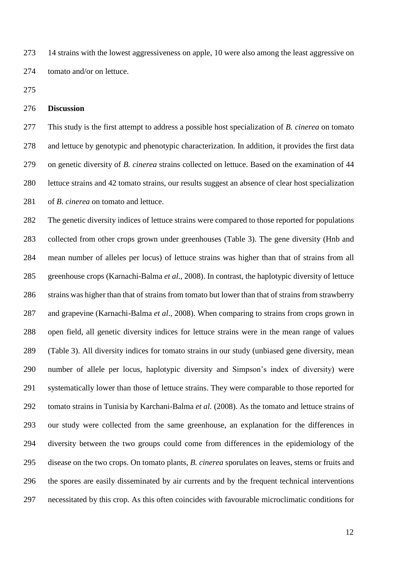14 strains with the lowest aggressiveness on apple, 10 were also among the least aggressive on tomato and/or on lettuce.

# **Discussion**

 This study is the first attempt to address a possible host specialization of *B. cinerea* on tomato and lettuce by genotypic and phenotypic characterization. In addition, it provides the first data on genetic diversity of *B. cinerea* strains collected on lettuce. Based on the examination of 44 lettuce strains and 42 tomato strains, our results suggest an absence of clear host specialization of *B. cinerea* on tomato and lettuce.

 The genetic diversity indices of lettuce strains were compared to those reported for populations collected from other crops grown under greenhouses (Table 3). The gene diversity (Hnb and mean number of alleles per locus) of lettuce strains was higher than that of strains from all greenhouse crops (Karnachi-Balma *et al*., 2008). In contrast, the haplotypic diversity of lettuce strains was higher than that of strains from tomato but lower than that of strains from strawberry and grapevine (Karnachi-Balma *et al*., 2008). When comparing to strains from crops grown in open field, all genetic diversity indices for lettuce strains were in the mean range of values (Table 3). All diversity indices for tomato strains in our study (unbiased gene diversity, mean number of allele per locus, haplotypic diversity and Simpson's index of diversity) were systematically lower than those of lettuce strains. They were comparable to those reported for tomato strains in Tunisia by Karchani-Balma *et al.* (2008). As the tomato and lettuce strains of our study were collected from the same greenhouse, an explanation for the differences in diversity between the two groups could come from differences in the epidemiology of the disease on the two crops. On tomato plants, *B. cinerea* sporulates on leaves, stems or fruits and the spores are easily disseminated by air currents and by the frequent technical interventions necessitated by this crop. As this often coincides with favourable microclimatic conditions for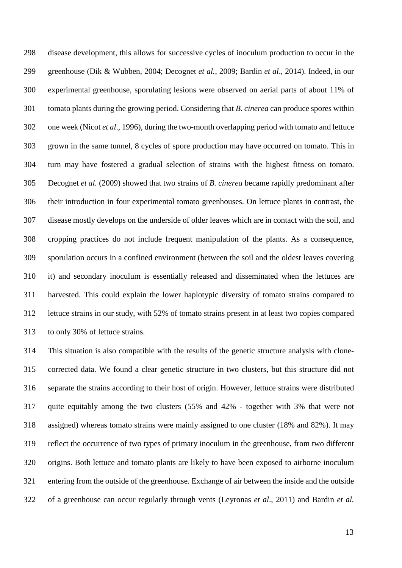disease development, this allows for successive cycles of inoculum production to occur in the greenhouse (Dik & Wubben, 2004; Decognet *et al.*, 2009; Bardin *et al*., 2014). Indeed, in our experimental greenhouse, sporulating lesions were observed on aerial parts of about 11% of tomato plants during the growing period. Considering that *B. cinerea* can produce spores within one week (Nicot *et al*., 1996), during the two-month overlapping period with tomato and lettuce grown in the same tunnel, 8 cycles of spore production may have occurred on tomato. This in turn may have fostered a gradual selection of strains with the highest fitness on tomato. Decognet *et al.* (2009) showed that two strains of *B. cinerea* became rapidly predominant after their introduction in four experimental tomato greenhouses. On lettuce plants in contrast, the disease mostly develops on the underside of older leaves which are in contact with the soil, and cropping practices do not include frequent manipulation of the plants. As a consequence, sporulation occurs in a confined environment (between the soil and the oldest leaves covering it) and secondary inoculum is essentially released and disseminated when the lettuces are harvested. This could explain the lower haplotypic diversity of tomato strains compared to lettuce strains in our study, with 52% of tomato strains present in at least two copies compared to only 30% of lettuce strains.

 This situation is also compatible with the results of the genetic structure analysis with clone- corrected data. We found a clear genetic structure in two clusters, but this structure did not separate the strains according to their host of origin. However, lettuce strains were distributed quite equitably among the two clusters (55% and 42% - together with 3% that were not assigned) whereas tomato strains were mainly assigned to one cluster (18% and 82%). It may reflect the occurrence of two types of primary inoculum in the greenhouse, from two different origins. Both lettuce and tomato plants are likely to have been exposed to airborne inoculum entering from the outside of the greenhouse. Exchange of air between the inside and the outside of a greenhouse can occur regularly through vents (Leyronas *et al*., 2011) and Bardin *et al.*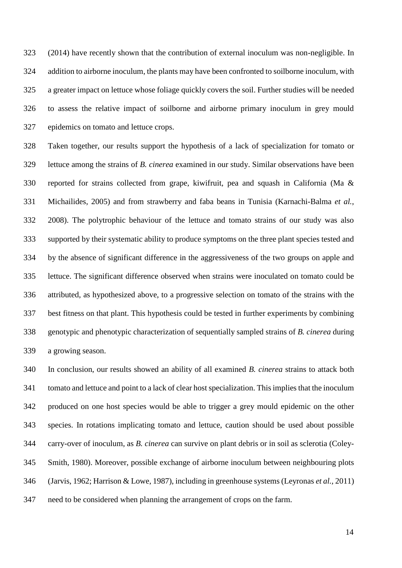(2014) have recently shown that the contribution of external inoculum was non-negligible. In addition to airborne inoculum, the plants may have been confronted to soilborne inoculum, with a greater impact on lettuce whose foliage quickly covers the soil. Further studies will be needed to assess the relative impact of soilborne and airborne primary inoculum in grey mould epidemics on tomato and lettuce crops.

 Taken together, our results support the hypothesis of a lack of specialization for tomato or lettuce among the strains of *B. cinerea* examined in our study. Similar observations have been reported for strains collected from grape, kiwifruit, pea and squash in California (Ma & Michailides, 2005) and from strawberry and faba beans in Tunisia (Karnachi-Balma *et al.*, 2008). The polytrophic behaviour of the lettuce and tomato strains of our study was also supported by their systematic ability to produce symptoms on the three plant species tested and by the absence of significant difference in the aggressiveness of the two groups on apple and lettuce. The significant difference observed when strains were inoculated on tomato could be attributed, as hypothesized above, to a progressive selection on tomato of the strains with the best fitness on that plant. This hypothesis could be tested in further experiments by combining genotypic and phenotypic characterization of sequentially sampled strains of *B. cinerea* during a growing season.

 In conclusion, our results showed an ability of all examined *B. cinerea* strains to attack both tomato and lettuce and point to a lack of clear host specialization. This implies that the inoculum produced on one host species would be able to trigger a grey mould epidemic on the other species. In rotations implicating tomato and lettuce, caution should be used about possible carry-over of inoculum, as *B. cinerea* can survive on plant debris or in soil as sclerotia (Coley- Smith, 1980). Moreover, possible exchange of airborne inoculum between neighbouring plots (Jarvis, 1962; Harrison & Lowe, 1987), including in greenhouse systems (Leyronas *et al.,* 2011) need to be considered when planning the arrangement of crops on the farm.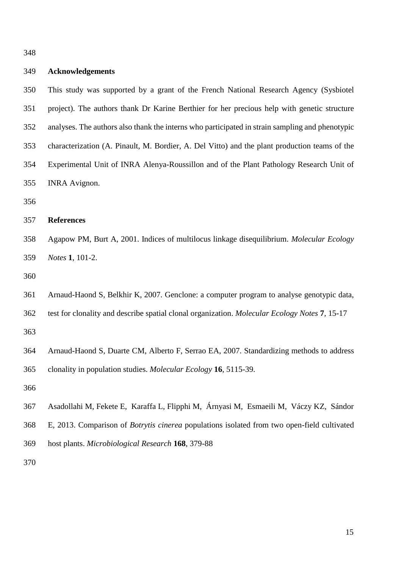#### **Acknowledgements**

 This study was supported by a grant of the French National Research Agency (Sysbiotel project). The authors thank Dr Karine Berthier for her precious help with genetic structure analyses. The authors also thank the interns who participated in strain sampling and phenotypic characterization (A. Pinault, M. Bordier, A. Del Vitto) and the plant production teams of the Experimental Unit of INRA Alenya-Roussillon and of the Plant Pathology Research Unit of INRA Avignon.

# **References**

 Agapow PM, Burt A, 2001. Indices of multilocus linkage disequilibrium. *Molecular Ecology Notes* **1**, 101-2.

- Arnaud-Haond S, Belkhir K, 2007. Genclone: a computer program to analyse genotypic data,
- test for clonality and describe spatial clonal organization. *Molecular Ecology Notes* **7**, 15-17

 Arnaud-Haond S, Duarte CM, Alberto F, Serrao EA, 2007. Standardizing methods to address clonality in population studies. *Molecular Ecology* **16**, 5115-39.

- Asadollahi M, Fekete E, Karaffa L, Flipphi M, Árnyasi M, Esmaeili M, Váczy KZ, Sándor
- E, 2013. Comparison of *Botrytis cinerea* populations isolated from two open-field cultivated
- host plants. *Microbiological Research* **168**, 379-88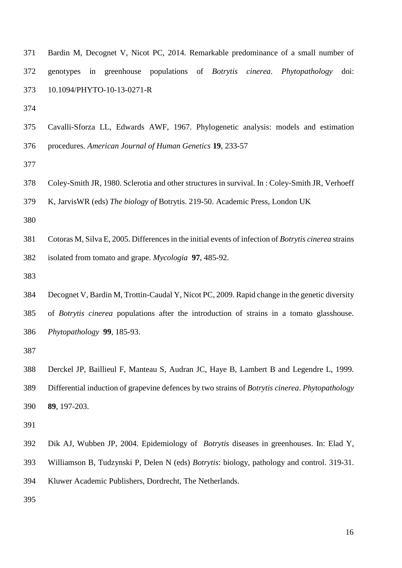| 371 |  |                                |  |  | Bardin M, Decognet V, Nicot PC, 2014. Remarkable predominance of a small number of          |  |
|-----|--|--------------------------------|--|--|---------------------------------------------------------------------------------------------|--|
| 372 |  |                                |  |  | genotypes in greenhouse populations of <i>Botrytis cinerea</i> . <i>Phytopathology</i> doi: |  |
|     |  | 373 10.1094/PHYTO-10-13-0271-R |  |  |                                                                                             |  |

 Cavalli-Sforza LL, Edwards AWF, 1967. Phylogenetic analysis: models and estimation procedures. *American Journal of Human Genetics* **19**, 233-57

Coley-Smith JR, 1980. Sclerotia and other structures in survival. In : Coley-Smith JR, Verhoeff

K, JarvisWR (eds) *The biology of* Botrytis. 219-50. Academic Press, London UK

 Cotoras M, Silva E, 2005. Differences in the initial events of infection of *Botrytis cinerea* strains isolated from tomato and grape. *Mycologia* **97**, 485-92.

 Decognet V, Bardin M, Trottin-Caudal Y, Nicot PC, 2009. Rapid change in the genetic diversity of *Botrytis cinerea* populations after the introduction of strains in a tomato glasshouse. *Phytopathology* **99**, 185-93.

 Derckel JP, Baillieul F, Manteau S, Audran JC, Haye B, Lambert B and Legendre L, 1999. Differential induction of grapevine defences by two strains of *Botrytis cinerea*. *Phytopathology* **89**, 197-203.

- Dik AJ, Wubben JP, 2004. Epidemiology of *Botrytis* diseases in greenhouses. In: Elad Y, Williamson B, Tudzynski P, Delen N (eds) *Botrytis*: biology, pathology and control. 319-31.
- Kluwer Academic Publishers, Dordrecht, The Netherlands.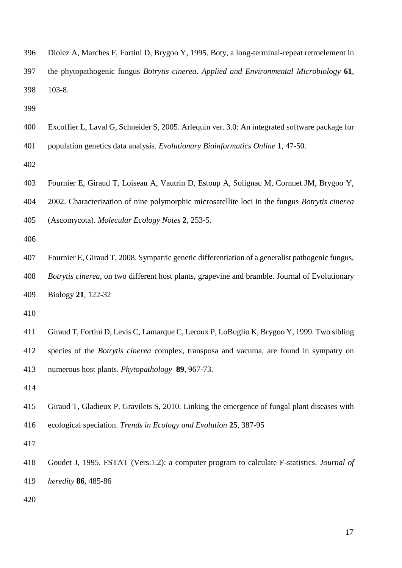- Diolez A, Marches F, Fortini D, Brygoo Y, 1995. Boty, a long-terminal-repeat retroelement in the phytopathogenic fungus *Botrytis cinerea*. *Applied and Environmental Microbiology* **61**, 103-8.
- 
- Excoffier L, Laval G, Schneider S, 2005. Arlequin ver. 3.0: An integrated software package for
- population genetics data analysis. *Evolutionary Bioinformatics Online* **1**, 47-50.
- 
- Fournier E, Giraud T, Loiseau A*,* Vautrin D, Estoup A, Solignac M, Cornuet JM, Brygoo Y,
- 2002. Characterization of nine polymorphic microsatellite loci in the fungus *Botrytis cinerea*
- (Ascomycota). *Molecular Ecology Notes* **2**, 253-5.
- 
- Fournier E, Giraud T, 2008. Sympatric genetic differentiation of a generalist pathogenic fungus,
- *Botrytis cinerea*, on two different host plants, grapevine and bramble. Journal of Evolutionary Biology **21**, 122-32
- 
- Giraud T, Fortini D, Levis C, Lamarque C, Leroux P, LoBuglio K, Brygoo Y, 1999. Two sibling
- species of the *Botrytis cinerea* complex, transposa and vacuma, are found in sympatry on numerous host plants. *Phytopathology* **89**, 967-73.
- 
- Giraud T, Gladieux P, Gravilets S, 2010. Linking the emergence of fungal plant diseases with ecological speciation. *Trends in Ecology and Evolution* **25**, 387-95
- 
- Goudet J, 1995. FSTAT (Vers.1.2): a computer program to calculate F-statistics. *Journal of heredity* **86**, 485-86
-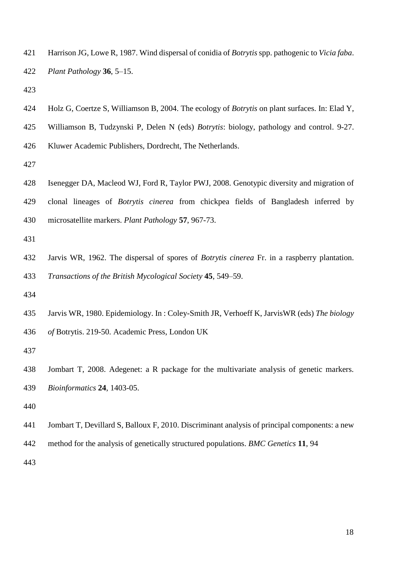Harrison JG, Lowe R, 1987. Wind dispersal of conidia of *Botrytis* spp. pathogenic to *Vicia faba*. *Plant Pathology* **36**, 5–15.

- Holz G, Coertze S, Williamson B, 2004. The ecology of *Botrytis* on plant surfaces. In: Elad Y,
- Williamson B, Tudzynski P, Delen N (eds) *Botrytis*: biology, pathology and control. 9-27.
- Kluwer Academic Publishers, Dordrecht, The Netherlands.

 Isenegger DA, Macleod WJ, Ford R, Taylor PWJ, 2008. Genotypic diversity and migration of clonal lineages of *Botrytis cinerea* from chickpea fields of Bangladesh inferred by microsatellite markers. *Plant Pathology* **57**, 967-73.

 Jarvis WR, 1962. The dispersal of spores of *Botrytis cinerea* Fr. in a raspberry plantation. *Transactions of the British Mycological Society* **45**, 549–59.

 Jarvis WR, 1980. Epidemiology. In : Coley-Smith JR, Verhoeff K, JarvisWR (eds) *The biology of* Botrytis. 219-50. Academic Press, London UK

 Jombart T, 2008. Adegenet: a R package for the multivariate analysis of genetic markers. *Bioinformatics* **24**, 1403-05.

- Jombart T, Devillard S, Balloux F, 2010. Discriminant analysis of principal components: a new
- method for the analysis of genetically structured populations. *BMC Genetics* **11**, 94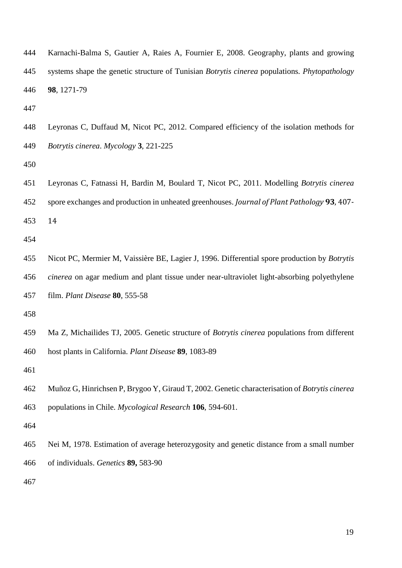| 444 | Karnachi-Balma S, Gautier A, Raies A, Fournier E, 2008. Geography, plants and growing                      |
|-----|------------------------------------------------------------------------------------------------------------|
| 445 | systems shape the genetic structure of Tunisian <i>Botrytis cinerea</i> populations. <i>Phytopathology</i> |
| 446 | 98, 1271-79                                                                                                |

 Leyronas C, Duffaud M, Nicot PC, 2012. Compared efficiency of the isolation methods for *Botrytis cinerea*. *Mycology* **3**, 221-225

 Leyronas C, Fatnassi H, Bardin M, Boulard T, Nicot PC, 2011. Modelling *Botrytis cinerea* spore exchanges and production in unheated greenhouses. *Journal of Plant Pathology* **93**, 407- 14

 Nicot PC, Mermier M, Vaissière BE, Lagier J, 1996. Differential spore production by *Botrytis cinerea* on agar medium and plant tissue under near-ultraviolet light-absorbing polyethylene film. *Plant Disease* **80**, 555-58

Ma Z, Michailides TJ, 2005. Genetic structure of *Botrytis cinerea* populations from different

host plants in California. *Plant Disease* **89**, 1083-89

Muñoz G, Hinrichsen P, Brygoo Y, Giraud T, 2002. Genetic characterisation of *Botrytis cinerea* 

populations in Chile. *Mycological Research* **106**, 594-601.

 Nei M, 1978. Estimation of average heterozygosity and genetic distance from a small number of individuals. *Genetics* **89,** 583-90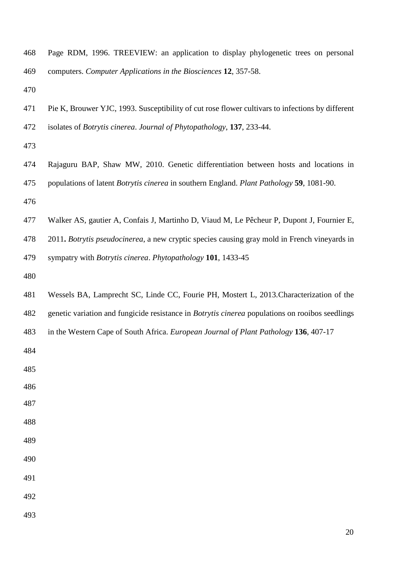- Page RDM, 1996. TREEVIEW: an application to display phylogenetic trees on personal computers. *Computer Applications in the Biosciences* **12**, 357-58.
- 
- Pie K, Brouwer YJC, 1993. Susceptibility of cut rose flower cultivars to infections by different isolates of *Botrytis cinerea*. *Journal of Phytopathology*, **137**, 233-44.
- 
- Rajaguru BAP, Shaw MW, 2010. Genetic differentiation between hosts and locations in populations of latent *Botrytis cinerea* in southern England. *Plant Pathology* **59**, 1081-90.
- 
- Walker AS, gautier A, Confais J, Martinho D, Viaud M, Le Pêcheur P, Dupont J, Fournier E,
- 2011**.** *Botrytis pseudocinerea*, a new cryptic species causing gray mold in French vineyards in
- sympatry with *Botrytis cinerea*. *Phytopathology* **101**, 1433-45
- 
- Wessels BA, Lamprecht SC, Linde CC, Fourie PH, Mostert L, 2013.Characterization of the
- genetic variation and fungicide resistance in *Botrytis cinerea* populations on rooibos seedlings
- in the Western Cape of South Africa. *European Journal of Plant Pathology* **136**, 407-17
- 
- 
- 
- 
- 
- 
- 
- 
- 
- 
-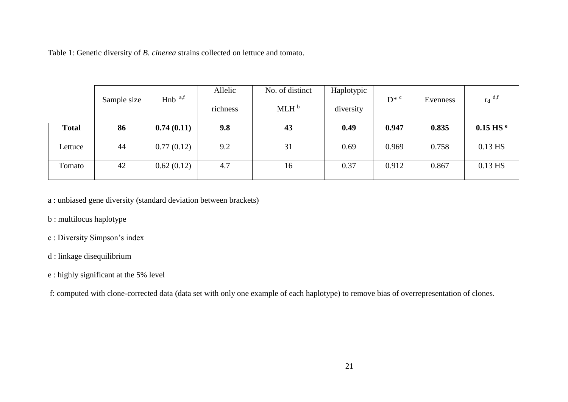Table 1: Genetic diversity of *B. cinerea* strains collected on lettuce and tomato.

|              | Sample size | $Hnb$ <sup>a,f</sup> | Allelic<br>richness | No. of distinct<br>MLH <sup>b</sup> | Haplotypic<br>diversity | $D^*$ <sup>c</sup> | Evenness | $r_d$ <sup>d,f</sup>   |
|--------------|-------------|----------------------|---------------------|-------------------------------------|-------------------------|--------------------|----------|------------------------|
| <b>Total</b> | 86          | 0.74(0.11)           | 9.8                 | 43                                  | 0.49                    | 0.947              | 0.835    | $0.15$ HS <sup>e</sup> |
| Lettuce      | 44          | 0.77(0.12)           | 9.2                 | 31                                  | 0.69                    | 0.969              | 0.758    | 0.13 HS                |
| Tomato       | 42          | 0.62(0.12)           | 4.7                 | 16                                  | 0.37                    | 0.912              | 0.867    | $0.13$ HS              |

a : unbiased gene diversity (standard deviation between brackets)

- b : multilocus haplotype
- c : Diversity Simpson's index
- d : linkage disequilibrium
- e : highly significant at the 5% level

f: computed with clone-corrected data (data set with only one example of each haplotype) to remove bias of overrepresentation of clones.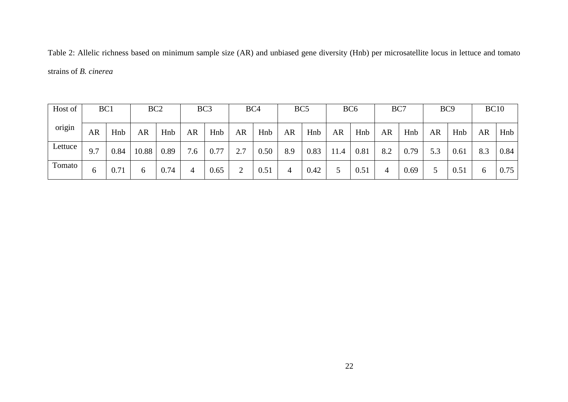Table 2: Allelic richness based on minimum sample size (AR) and unbiased gene diversity (Hnb) per microsatellite locus in lettuce and tomato strains of *B. cinerea*

| Host of | BC1 |      | BC <sub>2</sub> |      |           | BC <sub>3</sub> |           | BC4  |     | BC <sub>5</sub> |           | BC <sub>6</sub> | BC7 |      | BC <sub>9</sub> |      | <b>BC10</b> |      |
|---------|-----|------|-----------------|------|-----------|-----------------|-----------|------|-----|-----------------|-----------|-----------------|-----|------|-----------------|------|-------------|------|
| origin  | AR  | Hnb  | AR              | Hnb  | <b>AR</b> | Hnb             | <b>AR</b> | Hnb  | AR  | Hnb             | <b>AR</b> | Hnb             | AR  | Hnb  | AR              | Hnb  | AR          | Hnb  |
| Lettuce | 9.7 | 0.84 | 10.88           | 0.89 | 7<br>.6   | 0.77            | 2.7       | 0.50 | 8.9 | 0.83            | 11.4      | 0.81            | 8.2 | 0.79 | 5.3             | 0.61 | 8.3         | 0.84 |
| Tomato  | h   | 0.71 | 6               | 0.74 | 4         | 0.65            | ◠         | 0.51 | 4   | 0.42            | 5         | 0.51            | 4   | 0.69 |                 | 0.51 | 6           | 0.75 |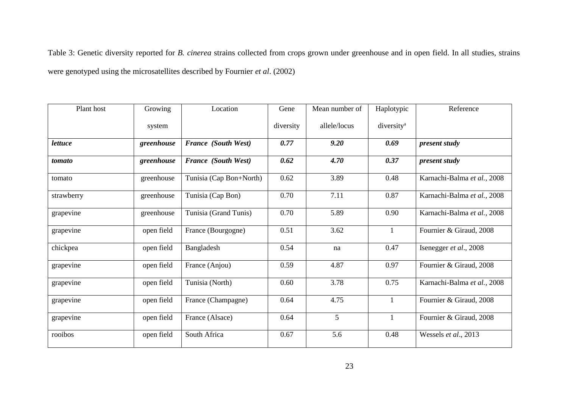Table 3: Genetic diversity reported for *B. cinerea* strains collected from crops grown under greenhouse and in open field. In all studies, strains were genotyped using the microsatellites described by Fournier *et al*. (2002)

| Plant host     | Growing    | Location                   |           | Mean number of | Haplotypic             | Reference                   |
|----------------|------------|----------------------------|-----------|----------------|------------------------|-----------------------------|
|                | system     |                            | diversity | allele/locus   | diversity <sup>a</sup> |                             |
| <i>lettuce</i> | greenhouse | <b>France (South West)</b> | 0.77      | 9.20           | 0.69                   | present study               |
| tomato         | greenhouse | <b>France (South West)</b> | 0.62      | 4.70           | 0.37                   | present study               |
| tomato         | greenhouse | Tunisia (Cap Bon+North)    | 0.62      | 3.89           | 0.48                   | Karnachi-Balma et al., 2008 |
| strawberry     | greenhouse | Tunisia (Cap Bon)          | 0.70      | 7.11           | 0.87                   | Karnachi-Balma et al., 2008 |
| grapevine      | greenhouse | Tunisia (Grand Tunis)      | 0.70      | 5.89           | 0.90                   | Karnachi-Balma et al., 2008 |
| grapevine      | open field | France (Bourgogne)         | 0.51      | 3.62           | $\mathbf{1}$           | Fournier & Giraud, 2008     |
| chickpea       | open field | Bangladesh                 | 0.54      | na             | 0.47                   | Isenegger et al., 2008      |
| grapevine      | open field | France (Anjou)             | 0.59      | 4.87           | 0.97                   | Fournier & Giraud, 2008     |
| grapevine      | open field | Tunisia (North)            | 0.60      | 3.78           | 0.75                   | Karnachi-Balma et al., 2008 |
| grapevine      | open field | France (Champagne)         | 0.64      | 4.75           | $\mathbf{1}$           | Fournier & Giraud, 2008     |
| grapevine      | open field | France (Alsace)            | 0.64      | 5              | $\mathbf{1}$           | Fournier & Giraud, 2008     |
| rooibos        | open field | South Africa               | 0.67      | 5.6            | 0.48                   | Wessels et al., 2013        |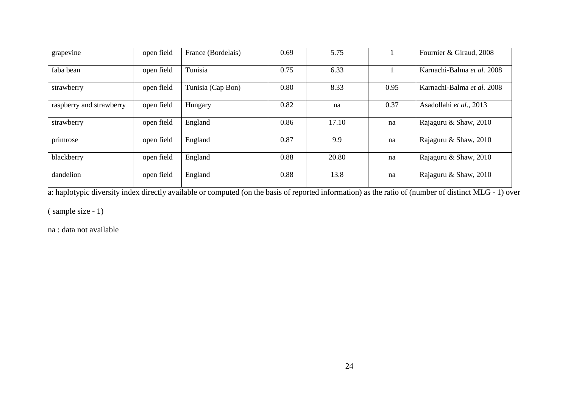| grapevine                | open field | France (Bordelais) | 0.69 | 5.75  |      | Fournier & Giraud, 2008    |
|--------------------------|------------|--------------------|------|-------|------|----------------------------|
| faba bean                | open field | Tunisia            | 0.75 | 6.33  |      | Karnachi-Balma et al. 2008 |
| strawberry               | open field | Tunisia (Cap Bon)  | 0.80 | 8.33  | 0.95 | Karnachi-Balma et al. 2008 |
| raspberry and strawberry | open field | Hungary            | 0.82 | na    | 0.37 | Asadollahi et al., 2013    |
| strawberry               | open field | England            | 0.86 | 17.10 | na   | Rajaguru & Shaw, 2010      |
| primrose                 | open field | England            | 0.87 | 9.9   | na   | Rajaguru & Shaw, 2010      |
| blackberry               | open field | England            | 0.88 | 20.80 | na   | Rajaguru & Shaw, 2010      |
| dandelion                | open field | England            | 0.88 | 13.8  | na   | Rajaguru & Shaw, 2010      |

a: haplotypic diversity index directly available or computed (on the basis of reported information) as the ratio of (number of distinct MLG - 1) over

( sample size - 1)

na : data not available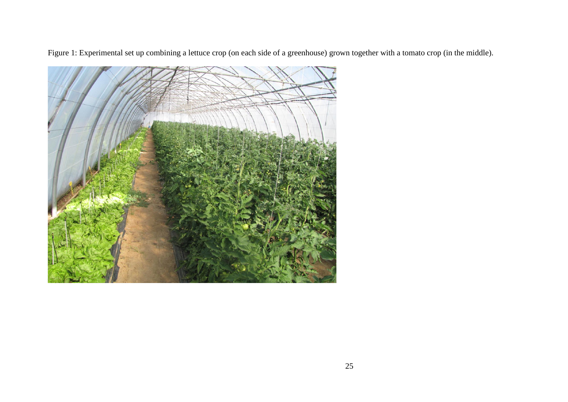Figure 1: Experimental set up combining a lettuce crop (on each side of a greenhouse) grown together with a tomato crop (in the middle).

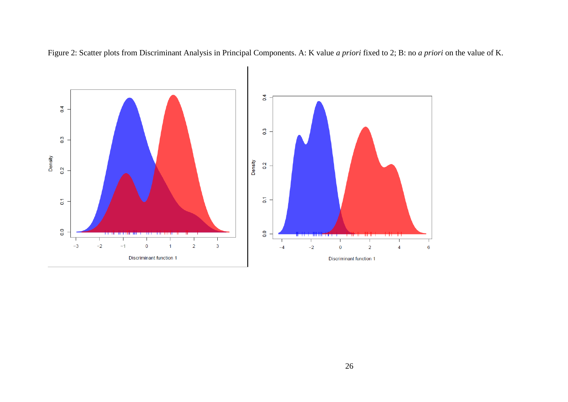

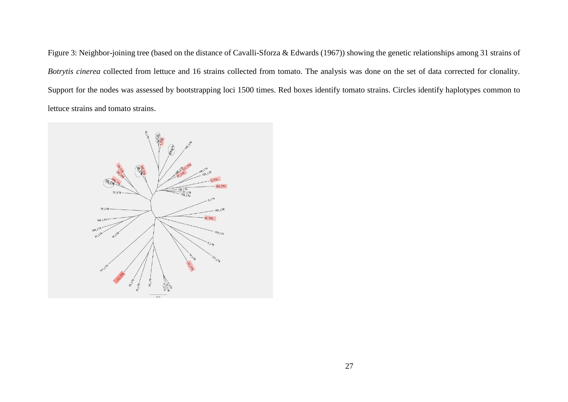Figure 3: Neighbor-joining tree (based on the distance of Cavalli-Sforza & Edwards (1967)) showing the genetic relationships among 31 strains of *Botrytis cinerea* collected from lettuce and 16 strains collected from tomato. The analysis was done on the set of data corrected for clonality. Support for the nodes was assessed by bootstrapping loci 1500 times. Red boxes identify tomato strains. Circles identify haplotypes common to lettuce strains and tomato strains.